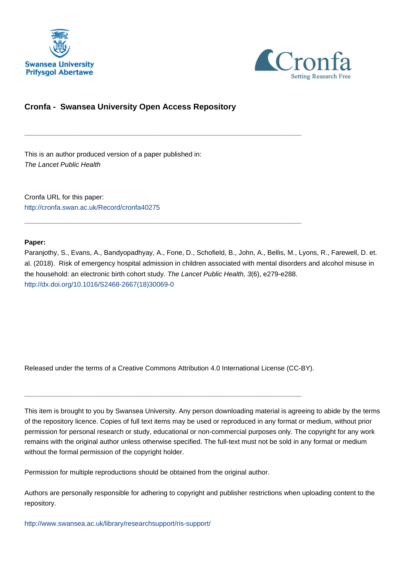



# **Cronfa - Swansea University Open Access Repository**

\_\_\_\_\_\_\_\_\_\_\_\_\_\_\_\_\_\_\_\_\_\_\_\_\_\_\_\_\_\_\_\_\_\_\_\_\_\_\_\_\_\_\_\_\_\_\_\_\_\_\_\_\_\_\_\_\_\_\_\_\_

\_\_\_\_\_\_\_\_\_\_\_\_\_\_\_\_\_\_\_\_\_\_\_\_\_\_\_\_\_\_\_\_\_\_\_\_\_\_\_\_\_\_\_\_\_\_\_\_\_\_\_\_\_\_\_\_\_\_\_\_\_

This is an author produced version of a paper published in: The Lancet Public Health

Cronfa URL for this paper: <http://cronfa.swan.ac.uk/Record/cronfa40275>

# **Paper:**

Paranjothy, S., Evans, A., Bandyopadhyay, A., Fone, D., Schofield, B., John, A., Bellis, M., Lyons, R., Farewell, D. et. al. (2018). Risk of emergency hospital admission in children associated with mental disorders and alcohol misuse in the household: an electronic birth cohort study. The Lancet Public Health, 3(6), e279-e288. [http://dx.doi.org/10.1016/S2468-2667\(18\)30069-0](http://dx.doi.org/10.1016/S2468-2667(18)30069-0)

Released under the terms of a Creative Commons Attribution 4.0 International License (CC-BY).

\_\_\_\_\_\_\_\_\_\_\_\_\_\_\_\_\_\_\_\_\_\_\_\_\_\_\_\_\_\_\_\_\_\_\_\_\_\_\_\_\_\_\_\_\_\_\_\_\_\_\_\_\_\_\_\_\_\_\_\_\_

This item is brought to you by Swansea University. Any person downloading material is agreeing to abide by the terms of the repository licence. Copies of full text items may be used or reproduced in any format or medium, without prior permission for personal research or study, educational or non-commercial purposes only. The copyright for any work remains with the original author unless otherwise specified. The full-text must not be sold in any format or medium without the formal permission of the copyright holder.

Permission for multiple reproductions should be obtained from the original author.

Authors are personally responsible for adhering to copyright and publisher restrictions when uploading content to the repository.

[http://www.swansea.ac.uk/library/researchsupport/ris-support/](http://www.swansea.ac.uk/library/researchsupport/ris-support/ )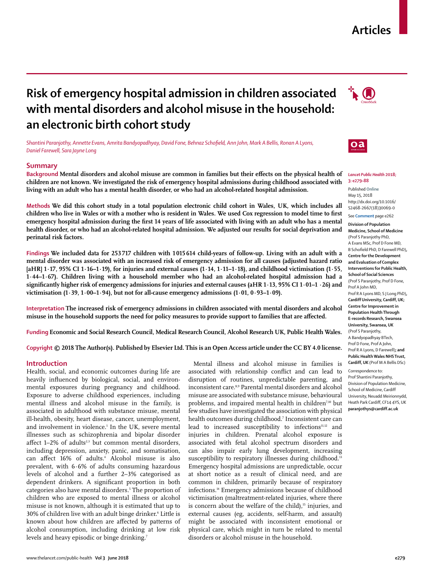# **Articles**

# **Risk of emergency hospital admission in children associated with mental disorders and alcohol misuse in the household: an electronic birth cohort study**

*Shantini Paranjothy, Annette Evans, Amrita Bandyopadhyay, David Fone, Behnaz Schofield, Ann John, Mark A Bellis, Ronan A Lyons, Daniel Farewell, Sara Jayne Long*

# **Summary**

**Background Mental disorders and alcohol misuse are common in families but their effects on the physical health of children are not known. We investigated the risk of emergency hospital admissions during childhood associated with living with an adult who has a mental health disorder, or who had an alcohol-related hospital admission.**

**Methods We did this cohort study in a total population electronic child cohort in Wales, UK, which includes all children who live in Wales or with a mother who is resident in Wales. We used Cox regression to model time to first emergency hospital admission during the first 14 years of life associated with living with an adult who has a mental health disorder, or who had an alcohol-related hospital admission. We adjusted our results for social deprivation and perinatal risk factors.**

**Findings We included data for 253 717 children with 1 015 614 child-years of follow-up. Living with an adult with a mental disorder was associated with an increased risk of emergency admission for all causes (adjusted hazard ratio [aHR] 1·17, 95% CI 1·16–1·19), for injuries and external causes (1·14, 1·11–1·18), and childhood victimisation (1·55, 1·44–1·67). Children living with a household member who had an alcohol-related hospital admission had a significantly higher risk of emergency admissions for injuries and external causes (aHR 1·13, 95% CI 1·01–1 ·26) and victimisation (1·39, 1·00–1·94), but not for all-cause emergency admissions (1·01, 0·93–1·09).**

**Interpretation The increased risk of emergency admissions in children associated with mental disorders and alcohol misuse in the household supports the need for policy measures to provide support to families that are affected.**

**Funding Economic and Social Research Council, Medical Research Council, Alcohol Research UK, Public Health Wales.**

#### **Copyright © 2018 The Author(s). Published by Elsevier Ltd. This is an Open Access article under the CC BY 4.0 license.**

#### **Introduction**

Health, social, and economic outcomes during life are heavily influenced by biological, social, and environmental exposures during pregnancy and childhood. Exposure to adverse childhood experiences, including mental illness and alcohol misuse in the family, is associated in adulthood with substance misuse, mental ill-health, obesity, heart disease, cancer, unemployment, and involvement in violence.<sup>1</sup> In the UK, severe mental illnesses such as schizophrenia and bipolar disorder affect  $1-2\%$  of adults<sup>2,3</sup> but common mental disorders, including depression, anxiety, panic, and somatisation, can affect 16% of adults.4 Alcohol misuse is also prevalent, with 6·6% of adults consuming hazardous levels of alcohol and a further 2–3% categorised as dependent drinkers. A significant proportion in both categories also have mental disorders.5 The proportion of children who are exposed to mental illness or alcohol misuse is not known, although it is estimated that up to 30% of children live with an adult binge drinker.6 Little is known about how children are affected by patterns of alcohol consumption, including drinking at low risk levels and heavy episodic or binge drinking.<sup>7</sup>

Mental illness and alcohol misuse in families is associated with relationship conflict and can lead to disruption of routines, unpredictable parenting, and inconsistent care.<sup>8,9</sup> Parental mental disorders and alcohol misuse are associated with substance misuse, behavioural problems, and impaired mental health in children<sup>7,10</sup> but few studies have investigated the association with physical health outcomes during childhood.7 Inconsistent care can lead to increased susceptibility to infections $n_{112}$  and injuries in children. Prenatal alcohol exposure is associated with fetal alcohol spectrum disorders and can also impair early lung development, increasing susceptibility to respiratory illnesses during childhood.<sup>13</sup> Emergency hospital admissions are unpredictable, occur at short notice as a result of clinical need, and are common in children, primarily because of respiratory infections.14 Emergency admissions because of childhood victimisation (maltreatment-related injuries, where there is concern about the welfare of the child),<sup>15</sup> injuries, and external causes (eg, accidents, self-harm, and assault) might be associated with inconsistent emotional or physical care, which might in turn be related to mental disorders or alcohol misuse in the household.





#### *Lancet Public Health* **2018; 3: e279–88**

Published **Online** May 15, 2018 http://dx.doi.org/10.1016/ S2468-2667(18)30069-0

See **Comment** page e262

**Division of Population Medicine, School of Medicine** (Prof S Paranjothy PhD, A Evans MSc, Prof D Fone MD, B Schofield PhD, D Farewell PhD)**, Centre for the Development and Evaluation of Complex Interventions for Public Health, School of Social Sciences**  (Prof S Paranjothy, Prof D Fone, Prof A John MD, Prof R A Lyons MD, S J Long PhD)**, Cardiff University, Cardiff, UK; Centre for Improvement in Population Health Through E-records Research, Swansea University, Swansea, UK**  (Prof S Paranjothy,

A Bandyopadhyay BTech, Prof D Fone, Prof A John, Prof R A Lyons, D Farewell)**; and Public Health Wales NHS Trust, Cardiff, UK** (Prof M A Bellis DSc)

Correspondence to: Prof Shantini Paranjothy, Division of Population Medicine, School of Medicine, Cardiff University, Neuadd Meirionnydd, Heath Park Cardiff, CF14 4YS, UK **paranjothys@cardiff.ac.uk**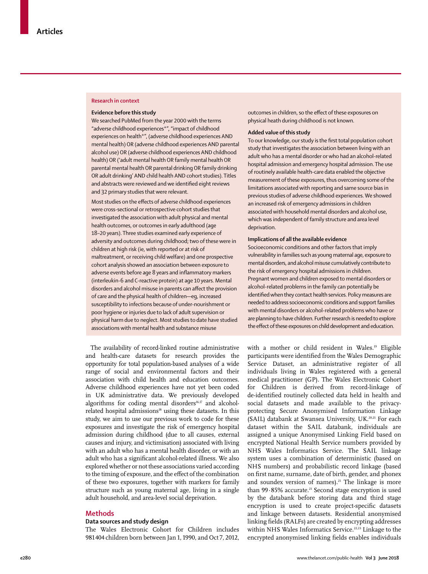#### **Research in context**

#### **Evidence before this study**

We searched PubMed from the year 2000 with the terms "adverse childhood experiences\*", "impact of childhood experiences on health\*", (adverse childhood experiences AND mental health) OR (adverse childhood experiences AND parental alcohol use) OR (adverse childhood experiences AND childhood health) OR ('adult mental health OR family mental health OR parental mental health OR parental drinking OR family drinking OR adult drinking' AND child health AND cohort studies). Titles and abstracts were reviewed and we identified eight reviews and 32 primary studies that were relevant.

Most studies on the effects of adverse childhood experiences were cross-sectional or retrospective cohort studies that investigated the association with adult physical and mental health outcomes, or outcomes in early adulthood (age 18–20 years). Three studies examined early experience of adversity and outcomes during childhood; two of these were in children at high risk (ie, with reported or at risk of maltreatment, or receiving child welfare) and one prospective cohort analysis showed an association between exposure to adverse events before age 8 years and inflammatory markers (interleukin-6 and C-reactive protein) at age 10 years. Mental disorders and alcohol misuse in parents can affect the provision of care and the physical health of children—eg, increased susceptibility to infections because of under-nourishment or poor hygiene or injuries due to lack of adult supervision or physical harm due to neglect. Most studies to date have studied associations with mental health and substance misuse

The availability of record-linked routine administrative and health-care datasets for research provides the opportunity for total population-based analyses of a wide range of social and environmental factors and their association with child health and education outcomes. Adverse childhood experiences have not yet been coded in UK administrative data. We previously developed algorithms for coding mental disorders<sup>16,17</sup> and alcoholrelated hospital admissions<sup>18</sup> using these datasets. In this study, we aim to use our previous work to code for these exposures and investigate the risk of emergency hospital admission during childhood (due to all causes, external causes and injury, and victimisation) associated with living with an adult who has a mental health disorder, or with an adult who has a significant alcohol-related illness. We also explored whether or not these associations varied according to the timing of exposure, and the effect of the combination of these two exposures, together with markers for family structure such as young maternal age, living in a single adult household, and area-level social deprivation.

# **Methods**

### **Data sources and study design**

The Wales Electronic Cohort for Children includes 981 404 children born between Jan 1, 1990, and Oct 7, 2012, outcomes in children, so the effect of these exposures on physical heath during childhood is not known.

### **Added value of this study**

To our knowledge, our study is the first total population cohort study that investigates the association between living with an adult who has a mental disorder or who had an alcohol-related hospital admission and emergency hospital admission. The use of routinely available health-care data enabled the objective measurement of these exposures, thus overcoming some of the limitations associated with reporting and same source bias in previous studies of adverse childhood experiences. We showed an increased risk of emergency admissions in children associated with household mental disorders and alcohol use, which was independent of family structure and area level deprivation.

#### **Implications of all the available evidence**

Socioeconomic conditions and other factors that imply vulnerability in families such as young maternal age, exposure to mental disorders, and alcohol misuse cumulatively contribute to the risk of emergency hospital admissions in children. Pregnant women and children exposed to mental disorders or alcohol-related problems in the family can potentially be identified when they contact health services. Policy measures are needed to address socioeconomic conditions and support families with mental disorders or alcohol-related problems who have or are planning to have children. Further research is needed to explore the effect of these exposures on child development and education.

with a mother or child resident in Wales.<sup>19</sup> Eligible participants were identified from the Wales Demographic Service Dataset, an administrative register of all individuals living in Wales registered with a general medical practitioner (GP). The Wales Electronic Cohort for Children is derived from record-linkage of de-identified routinely collected data held in health and social datasets and made available to the privacyprotecting Secure Anonymised Information Linkage (SAIL) databank at Swansea University, UK.20,21 For each dataset within the SAIL databank, individuals are assigned a unique Anonymised Linking Field based on encrypted National Health Service numbers provided by NHS Wales Informatics Service. The SAIL linkage system uses a combination of deterministic (based on NHS numbers) and probabilistic record linkage (based on first name, surname, date of birth, gender, and phonex and soundex version of names). $21$  The linkage is more than  $99.85\%$  accurate.<sup>21</sup> Second stage encryption is used by the databank before storing data and third stage encryption is used to create project-specific datasets and linkage between datasets. Residential anonymised linking fields (RALFs) are created by encrypting addresses within NHS Wales Informatics Service.<sup>22,23</sup> Linkage to the encrypted anonymised linking fields enables individuals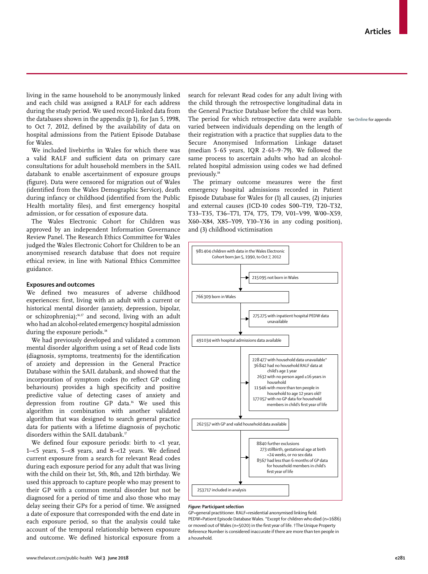**Articles**

living in the same household to be anonymously linked and each child was assigned a RALF for each address during the study period. We used record-linked data from the databases shown in the appendix (p 1), for Jan 5, 1998, to Oct 7, 2012, defined by the availability of data on hospital admissions from the Patient Episode Database for Wales.

We included livebirths in Wales for which there was a valid RALF and sufficient data on primary care consultations for adult household members in the SAIL databank to enable ascertainment of exposure groups (figure). Data were censored for migration out of Wales (identified from the Wales Demographic Service), death during infancy or childhood (identified from the Public Health mortality files), and first emergency hospital admission, or for cessation of exposure data.

The Wales Electronic Cohort for Children was approved by an independent Information Governance Review Panel. The Research Ethics Committee for Wales judged the Wales Electronic Cohort for Children to be an anonymised research database that does not require ethical review, in line with National Ethics Committee guidance.

# **Exposures and outcomes**

We defined two measures of adverse childhood experiences: first, living with an adult with a current or historical mental disorder (anxiety, depression, bipolar, or schizophrenia);16,17 and second, living with an adult who had an alcohol-related emergency hospital admission during the exposure periods.<sup>18</sup>

We had previously developed and validated a common mental disorder algorithm using a set of Read code lists (diagnosis, symptoms, treatments) for the identification of anxiety and depression in the General Practice Database within the SAIL databank, and showed that the incorporation of symptom codes (to reflect GP coding behaviours) provides a high specificity and positive predictive value of detecting cases of anxiety and depression from routine GP data.16 We used this algorithm in combination with another validated algorithm that was designed to search general practice data for patients with a lifetime diagnosis of psychotic disorders within the SAIL databank.<sup>17</sup>

We defined four exposure periods: birth to  $\langle 1 \rangle$  year, 1–<5 years, 5–<8 years, and 8–<12 years. We defined current exposure from a search for relevant Read codes during each exposure period for any adult that was living with the child on their 1st, 5th, 8th, and 12th birthday. We used this approach to capture people who may present to their GP with a common mental disorder but not be diagnosed for a period of time and also those who may delay seeing their GPs for a period of time. We assigned a date of exposure that corresponded with the end date in each exposure period, so that the analysis could take account of the temporal relationship between exposure and outcome. We defined historical exposure from a The period for which retrospective data were available see onlineforappendix search for relevant Read codes for any adult living with the child through the retrospective longitudinal data in the General Practice Database before the child was born. varied between individuals depending on the length of their registration with a practice that supplies data to the Secure Anonymised Information Linkage dataset (median 5·65 years, IQR 2·61–9·79). We followed the same process to ascertain adults who had an alcoholrelated hospital admission using codes we had defined previously.18

The primary outcome measures were the first emergency hospital admissions recorded in Patient Episode Database for Wales for (1) all causes, (2) injuries and external causes (ICD-10 codes S00–T19, T20–T32, T33–T35, T36–T71, T74, T75, T79, V01–V99, W00–X59, X60–X84, X85–Y09, Y10–Y36 in any coding position), and (3) childhood victimisation



#### *Figure:* **Participant selection**

GP=general practitioner. RALF=residential anonymised linking field. PEDW=Patient Episode Database Wales. \*Except for children who died (n=1686) or moved out of Wales (n=5020) in the first year of life. †The Unique Property Reference Number is considered inaccurate if there are more than ten people in a household.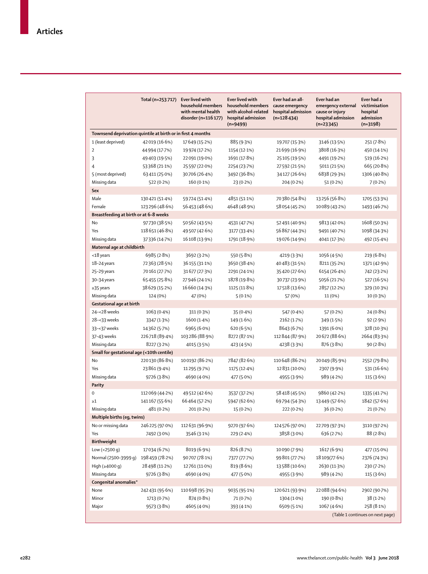|                                                             | Total (n=253 717) | Ever lived with<br>household members<br>with mental health<br>disorder (n=116 177) | Ever lived with<br>household members<br>with alcohol-related<br>hospital admission<br>$(n=9499)$ | Ever had an all-<br>cause emergency<br>hospital admission<br>$(n=128434)$ | Ever had an<br>emergency external<br>cause or injury<br>hospital admission<br>$(n=23345)$ | Ever had a<br>victimisation<br>hospital<br>admission<br>$(n=3198)$ |
|-------------------------------------------------------------|-------------------|------------------------------------------------------------------------------------|--------------------------------------------------------------------------------------------------|---------------------------------------------------------------------------|-------------------------------------------------------------------------------------------|--------------------------------------------------------------------|
| Townsend deprivation quintile at birth or in first 4 months |                   |                                                                                    |                                                                                                  |                                                                           |                                                                                           |                                                                    |
| 1 (least deprived)                                          | 42 019 (16.6%)    | 17649 (15.2%)                                                                      | 885 (9.3%)                                                                                       | 19707 (15.3%)                                                             | 3146 (13.5%)                                                                              | 251 (7.8%)                                                         |
| $\overline{2}$                                              | 44994 (17.7%)     | 19 974 (17-2%)                                                                     | 1154 (12.1%)                                                                                     | 21699 (16.9%)                                                             | 3808 (16.3%)                                                                              | 450 (14-1%)                                                        |
| 3                                                           | 49 403 (19.5%)    | 22091 (19.0%)                                                                      | 1691 (17.8%)                                                                                     | 25 105 (19.5%)                                                            | 4491 (19-2%)                                                                              | 519 (16-2%)                                                        |
| $\overline{4}$                                              | 53368 (21.1%)     | 25 597 (22.0%)                                                                     | 2254 (23.7%)                                                                                     | 27592 (21.5%)                                                             | 5011 (21.5%)                                                                              | 665 (20.8%)                                                        |
| 5 (most deprived)                                           | 63411 (25.0%)     | 30706 (26-4%)                                                                      | 3492 (36.8%)                                                                                     | 34127 (26.6%)                                                             | 6838 (29.3%)                                                                              | 1306 (40.8%)                                                       |
| Missing data                                                | 522 (0.2%)        | 160 (0.1%)                                                                         | 23 (0.2%)                                                                                        | 204 (0.2%)                                                                | $51(0.2\%)$                                                                               | $7(0.2\%)$                                                         |
| Sex                                                         |                   |                                                                                    |                                                                                                  |                                                                           |                                                                                           |                                                                    |
| Male                                                        | 130 421 (51.4%)   | 59724 (51.4%)                                                                      | 4851 (51.1%)                                                                                     | 70380 (54.8%)                                                             | 13256 (56.8%)                                                                             | 1705 (53.3%)                                                       |
| Female                                                      | 123296 (48.6%)    | 56453 (48.6%)                                                                      | 4648 (48.9%)                                                                                     | 58054 (45.2%)                                                             | 10089 (43.2%)                                                                             | 1493 (46.7%)                                                       |
| Breastfeeding at birth or at 6-8 weeks                      |                   |                                                                                    |                                                                                                  |                                                                           |                                                                                           |                                                                    |
| No                                                          | 97730 (38.5%)     | 50562 (43.5%)                                                                      | 4531 (47.7%)                                                                                     | 52491 (40.9%)                                                             | 9813 (42.0%)                                                                              | 1608 (50.3%)                                                       |
| Yes                                                         | 118651 (46.8%)    | 49507 (42.6%)                                                                      | 3177 (33.4%)                                                                                     | 56867 (44.3%)                                                             | 9491 (40.7%)                                                                              | 1098 (34.3%)                                                       |
| Missing data                                                | 37336 (14.7%)     | 16108 (13.9%)                                                                      | 1791 (18.9%)                                                                                     | 19076 (14.9%)                                                             | 4041 (17.3%)                                                                              | 492 (15.4%)                                                        |
| Maternal age at childbirth                                  |                   |                                                                                    |                                                                                                  |                                                                           |                                                                                           |                                                                    |
| <18 years                                                   | 6985 (2.8%)       | 3692 (3.2%)                                                                        | 550 (5.8%)                                                                                       | 4219 (3.3%)                                                               | 1056 (4.5%)                                                                               | 219 (6.8%)                                                         |
| 18-24 years                                                 | 72363 (28.5%)     | 36 155 (31.1%)                                                                     | 3650 (38.4%)                                                                                     | 40483 (31.5%)                                                             | 8211 (35.2%)                                                                              | 1371 (42.9%)                                                       |
| 25-29 years                                                 | 70161 (27.7%)     | 31677 (27.3%)                                                                      | 2291 (24.1%)                                                                                     | 35420 (27.6%)                                                             | 6154 (26.4%)                                                                              | 742 (23.2%)                                                        |
| 30-34 years                                                 | 65455 (25.8%)     | 27946 (24.1%)                                                                      | 1878 (19.8%)                                                                                     | 30737 (23.9%)                                                             | 5056 (21.7%)                                                                              | 527 (16.5%)                                                        |
| ≥35 years                                                   | 38 629 (15-2%)    | 16660 (14.3%)                                                                      | 1125 (11.8%)                                                                                     | 17518 (13.6%)                                                             | 2857 (12.2%)                                                                              | 329 (10.3%)                                                        |
| Missing data                                                | 124 (0%)          | 47 (0%)                                                                            | $5(0.1\%)$                                                                                       | 57 (0%)                                                                   | 11 (0%)                                                                                   | 10 (0.3%)                                                          |
| Gestational age at birth                                    |                   |                                                                                    |                                                                                                  |                                                                           |                                                                                           |                                                                    |
| 24-<28 weeks                                                | 1063 (0.4%)       | 311 (0.3%)                                                                         | 35 (0.4%)                                                                                        | 547 (0.4%)                                                                | 57 (0.2%)                                                                                 | 24 (0.8%)                                                          |
| 28-<33 weeks                                                | 3347 (1.3%)       | 1600 (1.4%)                                                                        | 149 (1.6%)                                                                                       | 2162 (1.7%)                                                               | 349 (1.5%)                                                                                | 92 (2.9%)                                                          |
| 33-<37 weeks                                                | 14362 (5.7%)      | 6965 (6.0%)                                                                        | 620 (6.5%)                                                                                       | 8643 (6.7%)                                                               | 1391 (6.0%)                                                                               | 328 (10.3%)                                                        |
| 37-43 weeks                                                 | 226718 (89-4%)    | 103286 (88.9%)                                                                     | 8272 (87.1%)                                                                                     | 112 844 (87.9%)                                                           | 20 672 (88.6%)                                                                            | 2664 (83.3%)                                                       |
| Missing data                                                | 8227 (3.2%)       | 4015 (3.5%)                                                                        | 423 (4.5%)                                                                                       | 4238 (3.3%)                                                               | 876 (3.8%)                                                                                | 90 (2.8%)                                                          |
| Small for gestational age (<10th centile)                   |                   |                                                                                    |                                                                                                  |                                                                           |                                                                                           |                                                                    |
| No                                                          | 220130 (86.8%)    | 100192 (86.2%)                                                                     | 7847 (82.6%)                                                                                     | 110648 (86.2%)                                                            | 20049 (85.9%)                                                                             | 2552 (79.8%)                                                       |
| Yes                                                         | 23861 (9.4%)      | 11295 (9.7%)                                                                       | 1175 (12.4%)                                                                                     | 12 8 31 (10 0%)                                                           | 2307 (9.9%)                                                                               | 531 (16.6%)                                                        |
| Missing data                                                | 9726 (3.8%)       | 4690 (4.0%)                                                                        | 477 (5.0%)                                                                                       | 4955 (3.9%)                                                               | 989 (4.2%)                                                                                | 115(3.6%)                                                          |
| Parity                                                      |                   |                                                                                    |                                                                                                  |                                                                           |                                                                                           |                                                                    |
| $\mathbf 0$                                                 | 112069 (44.2%)    | 49 512 (42.6%)                                                                     | 3537 (37.2%)                                                                                     | 58 418 (45.5%)                                                            | 9860 (42.2%)                                                                              | 1335 (41.7%)                                                       |
| $\geq 1$                                                    | 141167 (55.6%)    | 66464 (57.2%)                                                                      | 5947 (62.6%)                                                                                     | 69794 (54.3%)                                                             | 13449 (57.6%)                                                                             | 1842 (57.6%)                                                       |
| Missing data                                                | 481 (0.2%)        | 201 (0.2%)                                                                         | 15 (0.2%)                                                                                        | 222 (0.2%)                                                                | 36 (0.2%)                                                                                 | 21 (0.7%)                                                          |
| Multiple births (eg, twins)                                 |                   |                                                                                    |                                                                                                  |                                                                           |                                                                                           |                                                                    |
| No or missing data                                          | 246 225 (97.0%)   | 112 631 (96.9%)                                                                    | 9270 (97.6%)                                                                                     | 124576 (97.0%)                                                            | 22709 (97.3%)                                                                             | 3110 (97-2%)                                                       |
| Yes                                                         | 7492 (3.0%)       | 3546 (3-1%)                                                                        | 229 (2.4%)                                                                                       | 3858 (3.0%)                                                               | 636 (2.7%)                                                                                | 88(2.8%)                                                           |
| Birthweight                                                 |                   |                                                                                    |                                                                                                  |                                                                           |                                                                                           |                                                                    |
| Low (<2500 q)                                               | 17034 (6.7%)      | 8019 (6.9%)                                                                        | 826 (8.7%)                                                                                       | 10090 (7.9%)                                                              | 1617 (6.9%)                                                                               | 477 (15.0%)                                                        |
| Normal (2500-3999 q)                                        | 198459 (78.2%)    | 90707 (78.1%)                                                                      | 7377 (77.7%)                                                                                     | 99 801 (77.7%)                                                            | 18109(77.6%)                                                                              | 2376 (74.3%)                                                       |
| High (≥4000 g)                                              | 28498 (11.2%)     | 12761 (11.0%)                                                                      | 819 (8.6%)                                                                                       | 13588 (10.6%)                                                             | 2630 (11.3%)                                                                              | 230 (7.2%)                                                         |
| Missing data                                                | 9726 (3.8%)       | 4690 (4.0%)                                                                        | 477 (5.0%)                                                                                       | 4955 (3.9%)                                                               | 989 (4.2%)                                                                                | 115(3.6%)                                                          |
| Congenital anomalies*                                       |                   |                                                                                    |                                                                                                  |                                                                           |                                                                                           |                                                                    |
| None                                                        | 242 431 (95.6%)   | 110698 (95.3%)                                                                     |                                                                                                  | 120 621 (93.9%)                                                           | 22088 (94.6%)                                                                             | 2902 (90.7%)                                                       |
|                                                             |                   |                                                                                    | 9035 (95-1%)                                                                                     |                                                                           | 190 (0.8%)                                                                                |                                                                    |
| Minor<br>Major                                              | 1713 (0.7%)       | 874 (0.8%)                                                                         | 71 (0.7%)                                                                                        | 1304 (1.0%)                                                               |                                                                                           | 38 (1.2%)                                                          |
|                                                             | 9573 (3.8%)       | 4605 (4.0%)                                                                        | 393 (4.1%)                                                                                       | 6509 (5.1%)                                                               | 1067 (4.6%)                                                                               | 258 (8.1%)                                                         |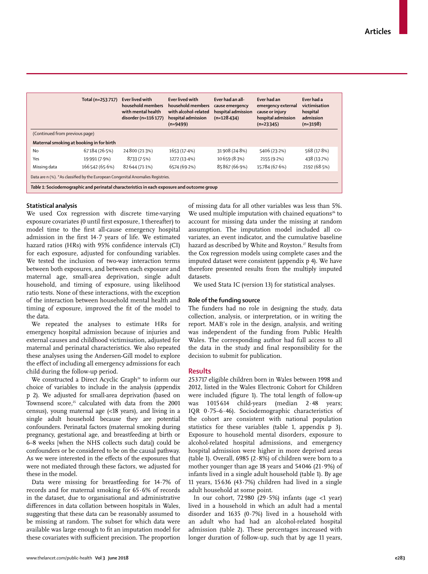|                                                                                            | Total (n=253 717) | Ever lived with<br>household members<br>with mental health<br>disorder (n=116 177) | <b>Ever lived with</b><br>household members<br>with alcohol-related<br>hospital admission<br>$(n=9499)$ | Ever had an all-<br>cause emergency<br>hospital admission<br>$(n=128434)$ | Ever had an<br>emergency external<br>cause or injury<br>hospital admission<br>$(n=23345)$ | Ever had a<br>victimisation<br>hospital<br>admission<br>$(n=3198)$ |
|--------------------------------------------------------------------------------------------|-------------------|------------------------------------------------------------------------------------|---------------------------------------------------------------------------------------------------------|---------------------------------------------------------------------------|-------------------------------------------------------------------------------------------|--------------------------------------------------------------------|
| (Continued from previous page)                                                             |                   |                                                                                    |                                                                                                         |                                                                           |                                                                                           |                                                                    |
| Maternal smoking at booking in for birth                                                   |                   |                                                                                    |                                                                                                         |                                                                           |                                                                                           |                                                                    |
| <b>No</b>                                                                                  | 67184 (26.5%)     | 24800 (21.3%)                                                                      | 1653 (17.4%)                                                                                            | 31908 (24.8%)                                                             | 5406 (23.2%)                                                                              | 568 (17.8%)                                                        |
| Yes                                                                                        | 19991 (7.9%)      | 8733(7.5%)                                                                         | 1272 (13.4%)                                                                                            | 10659 (8.3%)                                                              | 2155 (9.2%)                                                                               | 438 (13.7%)                                                        |
| Missing data                                                                               | 166 542 (65.6%)   | 82 644 (71.1%)                                                                     | 6574 (69.2%)                                                                                            | 85867 (66.9%)                                                             | 15784 (67.6%)                                                                             | 2192 (68.5%)                                                       |
| Data are n (%). *As classified by the European Congenital Anomalies Registries.            |                   |                                                                                    |                                                                                                         |                                                                           |                                                                                           |                                                                    |
| Table 1: Sociodemographic and perinatal characteristics in each exposure and outcome group |                   |                                                                                    |                                                                                                         |                                                                           |                                                                                           |                                                                    |

# **Statistical analysis**

We used Cox regression with discrete time-varying exposure covariates (0 until first exposure, 1 thereafter) to model time to the first all-cause emergency hospital admission in the first 14·7 years of life. We estimated hazard ratios (HRs) with 95% confidence intervals (CI) for each exposure, adjusted for confounding variables. We tested the inclusion of two-way interaction terms between both exposures, and between each exposure and maternal age, small-area deprivation, single adult household, and timing of exposure, using likelihood ratio tests. None of these interactions, with the exception of the interaction between household mental health and timing of exposure, improved the fit of the model to the data.

We repeated the analyses to estimate HRs for emergency hospital admission because of injuries and external causes and childhood victimisation, adjusted for maternal and perinatal characteristics. We also repeated these analyses using the Andersen-Gill model to explore the effect of including all emergency admissions for each child during the follow-up period.

We constructed a Direct Acyclic Graph<sup>24</sup> to inform our choice of variables to include in the analysis (appendix p 2). We adjusted for small-area deprivation (based on Townsend score,<sup>25</sup> calculated with data from the 2001 census), young maternal age (<18 years), and living in a single adult household because they are potential confounders. Perinatal factors (maternal smoking during pregnancy, gestational age, and breastfeeding at birth or 6–8 weeks [when the NHS collects such data]) could be confounders or be considered to be on the causal pathway. As we were interested in the effects of the exposures that were not mediated through these factors, we adjusted for these in the model.

Data were missing for breastfeeding for 14·7% of records and for maternal smoking for 65·6% of records in the dataset, due to organisational and administrative differences in data collation between hospitals in Wales, suggesting that these data can be reasonably assumed to be missing at random. The subset for which data were available was large enough to fit an imputation model for these covariates with sufficient precision. The proportion of missing data for all other variables was less than 5%. We used multiple imputation with chained equations<sup>26</sup> to account for missing data under the missing at random assumption. The imputation model included all covariates, an event indicator, and the cumulative baseline hazard as described by White and Royston.<sup>27</sup> Results from the Cox regression models using complete cases and the imputed dataset were consistent (appendix p 4). We have therefore presented results from the multiply imputed datasets.

We used Stata IC (version 13) for statistical analyses.

# **Role of the funding source**

The funders had no role in designing the study, data collection, analysis, or interpretation, or in writing the report. MAB's role in the design, analysis, and writing was independent of the funding from Public Health Wales. The corresponding author had full access to all the data in the study and final responsibility for the decision to submit for publication.

# **Results**

253717 eligible children born in Wales between 1998 and 2012, listed in the Wales Electronic Cohort for Children were included (figure 1). The total length of follow-up was 1015 614 child-years (median 2.48 years; IQR 0·75–6·46). Sociodemographic characteristics of the cohort are consistent with national population statistics for these variables (table 1, appendix p 3). Exposure to household mental disorders, exposure to alcohol-related hospital admissions, and emergency hospital admission were higher in more deprived areas (table 1). Overall, 6985 (2·8%) of children were born to a mother younger than age 18 years and 54 046 (21·9%) of infants lived in a single adult household (table 1). By age 11 years, 15 636 (43·7%) children had lived in a single adult household at some point.

In our cohort,  $72980$  (29 $\cdot$ 5%) infants (age <1 year) lived in a household in which an adult had a mental disorder and 1635 (0·7%) lived in a household with an adult who had had an alcohol-related hospital admission (table 2). These percentages increased with longer duration of follow-up, such that by age 11 years,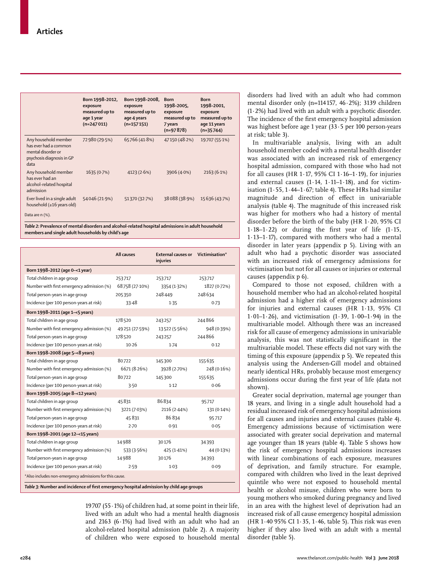|                                                                                                          | Born 1998-2012,<br>exposure<br>measured up to<br>age 1 year<br>$(n=247011)$ | Born 1998-2008,<br>exposure<br>measured up to<br>age 4 years<br>$(n=157151)$ | <b>Born</b><br>1998-2005,<br>exposure<br>measured up to<br>7 years<br>$(n=97878)$ | <b>Born</b><br>1998-2001,<br>exposure<br>measured up to<br>age 11 years<br>$(n=35744)$ |
|----------------------------------------------------------------------------------------------------------|-----------------------------------------------------------------------------|------------------------------------------------------------------------------|-----------------------------------------------------------------------------------|----------------------------------------------------------------------------------------|
| Any household member<br>has ever had a common<br>mental disorder or<br>psychosis diagnosis in GP<br>data | 72980 (29.5%)                                                               | 65766 (41.8%)                                                                | 47150 (48.2%)                                                                     | 19707 (55.1%)                                                                          |
| Any household member<br>has ever had an<br>alcohol-related hospital<br>admission                         | 1635 (0.7%)                                                                 | 4123(2.6%)                                                                   | 3906 (4.0%)                                                                       | 2163(6.1%)                                                                             |
| Ever lived in a single adult<br>household (≥16 years old)                                                | 54046 (21.9%)                                                               | 51370 (32.7%)                                                                | 38088 (38.9%)                                                                     | 15 636 (43.7%)                                                                         |
| Data are n (%).                                                                                          |                                                                             |                                                                              |                                                                                   |                                                                                        |

*Table 2:* **Prevalence of mental disorders and alcohol-related hospital admissions in adult household members and single adult households by child's age**

|                                                                                                                                                    | <b>All causes</b> | External causes or<br>injuries | Victimisation* |  |  |
|----------------------------------------------------------------------------------------------------------------------------------------------------|-------------------|--------------------------------|----------------|--|--|
| Born 1998-2012 (age 0-<1 year)                                                                                                                     |                   |                                |                |  |  |
| Total children in age group                                                                                                                        | 253717            | 253717                         | 253717         |  |  |
| Number with first emergency admission (%)                                                                                                          | 68758 (27.10%)    | 3354 (1.32%)                   | 1827 (0.72%)   |  |  |
| Total person-years in age group                                                                                                                    | 205350            | 248449                         | 248634         |  |  |
| Incidence (per 100 person-years at risk)                                                                                                           | 33.48             | 1.35                           | 0.73           |  |  |
| Born 1998-2011 (age 1-<5 years)                                                                                                                    |                   |                                |                |  |  |
| Total children in age group                                                                                                                        | 178520            | 243257                         | 244866         |  |  |
| Number with first emergency admission (%)                                                                                                          | 49251 (27.59%)    | 13522 (5.56%)                  | 948 (0.39%)    |  |  |
| Total person-years in age group                                                                                                                    | 178520            | 243257                         | 244866         |  |  |
| Incidence (per 100 person-years at risk)                                                                                                           | 10.26             | 1.74                           | 0.12           |  |  |
| Born 1998-2008 (age 5-<8 years)                                                                                                                    |                   |                                |                |  |  |
| Total children in age group                                                                                                                        | 80722             | 145300                         | 155635         |  |  |
| Number with first emergency admission (%)                                                                                                          | 6671 (8.26%)      | 3928 (2.70%)                   | 248 (0.16%)    |  |  |
| Total person-years in age group                                                                                                                    | 80722             | 145300                         | 155635         |  |  |
| Incidence (per 100 person-years at risk)                                                                                                           | 3.50              | $1-12$                         | 0.06           |  |  |
| Born 1998-2005 (age 8-<12 years)                                                                                                                   |                   |                                |                |  |  |
| Total children in age group                                                                                                                        | 45831             | 86834                          | 95717          |  |  |
| Number with first emergency admission (%)                                                                                                          | 3221 (7.03%)      | 2116 (2.44%)                   | 131 (0.14%)    |  |  |
| Total person-years in age group                                                                                                                    | 45831             | 86834                          | 95717          |  |  |
| Incidence (per 100 person-years at risk)                                                                                                           | $2-70$            | 0.91                           | 0.05           |  |  |
| Born 1998-2001 (age 12-<15 years)                                                                                                                  |                   |                                |                |  |  |
| Total children in age group                                                                                                                        | 14988             | 30176                          | 34393          |  |  |
| Number with first emergency admission (%)                                                                                                          | 533 (3.56%)       | 425 (1.41%)                    | 44 (0.13%)     |  |  |
| Total person-years in age group                                                                                                                    | 14988             | 30176                          | 34393          |  |  |
| Incidence (per 100 person-years at risk)                                                                                                           | 2.59              | $1-03$                         | 0.09           |  |  |
| *Also includes non-emergency admissions for this cause.<br>Table 3: Number and incidence of first emergency hospital admission by child age groups |                   |                                |                |  |  |

19 707 (55·1%) of children had, at some point in their life, lived with an adult who had a mental health diagnosis and 2163 (6·1%) had lived with an adult who had an alcohol-related hospital admission (table 2). A majority of children who were exposed to household mental disorders had lived with an adult who had common mental disorder only (n=114 157, 46·2%); 3139 children (1·2%) had lived with an adult with a psychotic disorder. The incidence of the first emergency hospital admission was highest before age 1 year (33·5 per 100 person-years at risk; table 3).

In multivariable analysis, living with an adult household member coded with a mental health disorder was associated with an increased risk of emergency hospital admission, compared with those who had not for all causes (HR  $1.17$ , 95% CI  $1.16-1.19$ ), for injuries and external causes  $(1.14, 1.11-1.18)$ , and for victimisation (1 $\cdot$  55, 1 $\cdot$  44-1 $\cdot$  67; table 4). These HRs had similar magnitude and direction of effect in univariable analysis (table 4). The magnitude of this increased risk was higher for mothers who had a history of mental disorder before the birth of the baby (HR 1·20, 95% CI  $1.18-1.22$ ) or during the first year of life  $(1.15, 1.15)$ 1·13–1·17), compared with mothers who had a mental disorder in later years (appendix p 5). Living with an adult who had a psychotic disorder was associated with an increased risk of emergency admissions for victimisation but not for all causes or injuries or external causes (appendix p 6).

Compared to those not exposed, children with a household member who had an alcohol-related hospital admission had a higher risk of emergency admissions for injuries and external causes (HR 1·13, 95% CI 1·01–1·26), and victimisation (1·39, 1·00–1·94) in the multivariable model. Although there was an increased risk for all cause of emergency admissions in univariable analysis, this was not statistically significant in the multivariable model. These effects did not vary with the timing of this exposure (appendix p 5). We repeated this analysis using the Andersen-Gill model and obtained nearly identical HRs, probably because most emergency admissions occur during the first year of life (data not shown).

Greater social deprivation, maternal age younger than 18 years, and living in a single adult household had a residual increased risk of emergency hospital admissions for all causes and injuries and external causes (table 4). Emergency admissions because of victimisation were associated with greater social deprivation and maternal age younger than 18 years (table 4). Table 5 shows how the risk of emergency hospital admissions increases with linear combinations of each exposure, measures of deprivation, and family structure. For example, compared with children who lived in the least deprived quintile who were not exposed to household mental health or alcohol misuse, children who were born to young mothers who smoked during pregnancy and lived in an area with the highest level of deprivation had an increased risk of all cause emergency hospital admission (HR 1·40 95% CI 1·35, 1·46, table 5). This risk was even higher if they also lived with an adult with a mental disorder (table 5).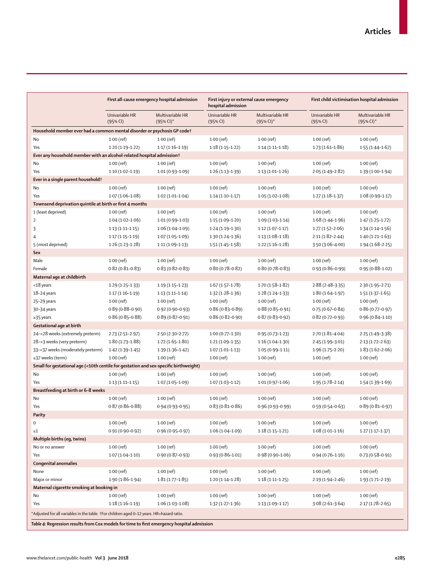|                                                                                           | First all-cause emergency hospital admission<br>First injury or external cause emergency<br>hospital admission |                                              |                            | First child victimisation hospital admission |                            |                                              |
|-------------------------------------------------------------------------------------------|----------------------------------------------------------------------------------------------------------------|----------------------------------------------|----------------------------|----------------------------------------------|----------------------------|----------------------------------------------|
|                                                                                           | Univariable HR<br>(95% CI)                                                                                     | Multivariable HR<br>$(95\%$ CI) <sup>*</sup> | Univariable HR<br>(95% CI) | Multivariable HR<br>$(95\%$ CI) <sup>*</sup> | Univariable HR<br>(95% CI) | Multivariable HR<br>$(95\%$ CI) <sup>*</sup> |
| Household member ever had a common mental disorder or psychosis GP codet                  |                                                                                                                |                                              |                            |                                              |                            |                                              |
| No                                                                                        | $1.00$ (ref)                                                                                                   | $1.00$ (ref)                                 | $1.00$ (ref)               | $1.00$ (ref)                                 | $1.00$ (ref)               | $1.00$ (ref)                                 |
| Yes                                                                                       | $1.20(1.19-1.22)$                                                                                              | $1.17(1.16-1.19)$                            | $1.18(1.15 - 1.22)$        | $1.14(1.11-1.18)$                            | $1.73(1.61-1.86)$          | $1.55(1.44 - 1.67)$                          |
| Ever any household member with an alcohol-related hospital admissiont                     |                                                                                                                |                                              |                            |                                              |                            |                                              |
| No                                                                                        | $1.00$ (ref)                                                                                                   | $1.00$ (ref)                                 | $1.00$ (ref)               | $1.00$ (ref)                                 | $1.00$ (ref)               | $1.00$ (ref)                                 |
| Yes                                                                                       | $1.10(1.02 - 1.19)$                                                                                            | $1.01(0.93 - 1.09)$                          | $1.26(1.13-1.39)$          | $1.13(1.01 - 1.26)$                          | $2.05(1.49-2.82)$          | $1.39(1.00-1.94)$                            |
| Ever in a single parent household†                                                        |                                                                                                                |                                              |                            |                                              |                            |                                              |
| No                                                                                        | $1.00$ (ref)                                                                                                   | $1.00$ (ref)                                 | $1.00$ (ref)               | $1.00$ (ref)                                 | $1.00$ (ref)               | $1.00$ (ref)                                 |
| Yes                                                                                       | $1.07(1.06 - 1.08)$                                                                                            | $1.02(1.01 - 1.04)$                          | $1.14(1.10-1.17)$          | $1.05(1.02 - 1.08)$                          | $1.27(1.18-1.37)$          | $1.08(0.99 - 1.17)$                          |
| Townsend deprivation quintile at birth or first 4 months                                  |                                                                                                                |                                              |                            |                                              |                            |                                              |
| 1 (least deprived)                                                                        | $1.00$ (ref)                                                                                                   | $1.00$ (ref)                                 | $1.00$ (ref)               | $1.00$ (ref)                                 | $1.00$ (ref)               | $1.00$ (ref)                                 |
| $\sqrt{2}$                                                                                | $1.04(1.02 - 1.06)$                                                                                            | $1.01(0.99 - 1.03)$                          | $1.15(1.09 - 1.20)$        | $1.09(1.03 - 1.14)$                          | $1.68(1.44 - 1.96)$        | $1.47(1.25-1.72)$                            |
| 3                                                                                         | $1.13(1.11 - 1.15)$                                                                                            | $1.06(1.04-1.09)$                            | $1.24(1.19-1.30)$          | $1.12(1.07 - 1.17)$                          | $1.77(1.52 - 2.06)$        | $1.34(1.14 - 1.56)$                          |
| 4                                                                                         | $1.17(1.15-1.19)$                                                                                              | $1.07(1.05 - 1.09)$                          | $1.30(1.24 - 1.36)$        | $1.13(1.08-1.18)$                            | $2.11(1.82 - 2.44)$        | $1.40(1.21 - 1.63)$                          |
| 5 (most deprived)                                                                         | $1.26(1.23 - 1.28)$                                                                                            | $1.11(1.09-1.13)$                            | $1.51(1.45 - 1.58)$        | $1.22(1.16-1.28)$                            | $3.50(3.06 - 4.00)$        | $1.94(1.68-2.25)$                            |
| Sex                                                                                       |                                                                                                                |                                              |                            |                                              |                            |                                              |
| Male                                                                                      | $1.00$ (ref)                                                                                                   | $1.00$ (ref)                                 | $1.00$ (ref)               | $1.00$ (ref)                                 | $1.00$ (ref)               | $1.00$ (ref)                                 |
| Female                                                                                    |                                                                                                                | $0.83(0.82 - 0.83)$                          | $0.80(0.78 - 0.82)$        | $0.80(0.78 - 0.83)$                          | $0.93(0.86 - 0.99)$        | $0.95(0.88 - 1.02)$                          |
|                                                                                           | $0.82(0.81 - 0.83)$                                                                                            |                                              |                            |                                              |                            |                                              |
| Maternal age at childbirth                                                                |                                                                                                                |                                              |                            |                                              |                            |                                              |
| <18 years                                                                                 | $1.29(1.25-1.33)$                                                                                              | $1.19(1.15 - 1.23)$                          | $1.67(1.57-1.78)$          | $1.70(1.58-1.82)$                            | $2.88(2.48-3.35)$          | $2.30(1.95 - 2.71)$                          |
| 18-24 years                                                                               | $1.17(1.16-1.19)$                                                                                              | $1.13(1.11 - 1.14)$                          | $1.32(1.28-1.36)$          | $1.28(1.24 - 1.33)$                          | $1.80(1.64 - 1.97)$        | $1.51(1.37 - 1.65)$                          |
| 25-29 years                                                                               | $1.00$ (ref)                                                                                                   | $1.00$ (ref)                                 | $1.00$ (ref)               | $1.00$ (ref)                                 | $1.00$ (ref)               | $1.00$ (ref)                                 |
| 30-34 years                                                                               | $0.89(0.88 - 0.90)$                                                                                            | $0.92(0.90 - 0.93)$                          | $0.86(0.83 - 0.89)$        | $0.88(0.85 - 0.91)$                          | $0.75(0.67 - 0.84)$        | $0.86(0.77 - 0.97)$                          |
| ≥35 years                                                                                 | $0.86(0.85 - 0.88)$                                                                                            | $0.89(0.87 - 0.91)$                          | $0.86(0.82 - 0.90)$        | $0.87(0.83 - 0.92)$                          | $0.82(0.72 - 0.93)$        | $0.96(0.84 - 1.10)$                          |
| Gestational age at birth                                                                  |                                                                                                                |                                              |                            |                                              |                            |                                              |
| 24-<28 weeks (extremely preterm)                                                          | $2.73(2.51-2.97)$                                                                                              | $2.50(2.30-2.72)$                            | $1.00(0.77 - 1.30)$        | $0.95(0.73 - 1.23)$                          | $2.70(1.81 - 4.04)$        | $2.25(1.49-3.38)$                            |
| 28-<3 weeks (very preterm)                                                                | $1.80(1.73 - 1.88)$                                                                                            | $1.72(1.65 - 1.80)$                          | $1.21(1.09-1.35)$          | $1.16(1.04-1.30)$                            | $2.45(1.99-3.01)$          | $2.13(1.72 - 2.63)$                          |
| 33-<37 weeks (moderately preterm)                                                         | $1.42(1.39-1.45)$                                                                                              | $1.39(1.36 - 1.42)$                          | $1.07(1.01 - 1.13)$        | $1.05(0.99 - 1.11)$                          | $1.96(1.75 - 2.20)$        | $1.83(1.62 - 2.06)$                          |
| ≥37 weeks (term)                                                                          | $1.00$ (ref)                                                                                                   | $1.00$ (ref)                                 | $1.00$ (ref)               | $1.00$ (ref)                                 | $1.00$ (ref)               | $1.00$ (ref)                                 |
| Small for gestational age (<10th centile for gestation and sex-specific birthweight)      |                                                                                                                |                                              |                            |                                              |                            |                                              |
| <b>No</b>                                                                                 | $1.00$ (ref)                                                                                                   | $1.00$ (ref)                                 | $1.00$ (ref)               | $1.00$ (ref)                                 | $1.00$ (ref)               | $1.00$ (ref)                                 |
| Yes                                                                                       | $1.13(1.11 - 1.15)$                                                                                            | $1.07(1.05 - 1.09)$                          | $1.07(1.03 - 1.12)$        | $1.01(0.97-1.06)$                            | $1.95(1.78-2.14)$          | $1.54(1.39 - 1.69)$                          |
| Breastfeeding at birth or 6-8 weeks                                                       |                                                                                                                |                                              |                            |                                              |                            |                                              |
| No                                                                                        | $1.00$ (ref)                                                                                                   | $1.00$ (ref)                                 | $1.00$ (ref)               | $1.00$ (ref)                                 | $1.00$ (ref)               | $1.00$ (ref)                                 |
| Yes                                                                                       | $0.87(0.86 - 0.88)$                                                                                            | $0.94(0.93 - 0.95)$                          | $0.83(0.81 - 0.86)$        | $0.96(0.93 - 0.99)$                          | $0.59(0.54 - 0.63)$        | $0.89(0.81 - 0.97)$                          |
| Parity                                                                                    |                                                                                                                |                                              |                            |                                              |                            |                                              |
| 0                                                                                         | $1.00$ (ref)                                                                                                   | $1.00$ (ref)                                 | $1.00$ (ref)               | $1.00$ (ref)                                 | $1.00$ (ref)               | $1.00$ (ref)                                 |
| $\geq 1$                                                                                  | $0.91(0.90 - 0.92)$                                                                                            | $0.96(0.95 - 0.97)$                          | $1.06(1.04 - 1.09)$        | $1.18(1.15 - 1.21)$                          | $1.08(1.01 - 1.16)$        | $1.27(1.17-1.37)$                            |
| Multiple births (eg, twins)                                                               |                                                                                                                |                                              |                            |                                              |                            |                                              |
| No or no answer                                                                           | $1.00$ (ref)                                                                                                   | $1.00$ (ref)                                 | $1.00$ (ref)               | $1.00$ (ref)                                 | $1.00$ (ref)               | $1.00$ (ref)                                 |
| Yes                                                                                       | $1.07(1.04 - 1.10)$                                                                                            | $0.90(0.87 - 0.93)$                          | $0.93(0.86 - 1.01)$        | $0.98(0.90 - 1.06)$                          | $0.94(0.76 - 1.16)$        | $0.73(0.58 - 0.91)$                          |
| <b>Congenital anomalies</b>                                                               |                                                                                                                |                                              |                            |                                              |                            |                                              |
| None                                                                                      | $1.00$ (ref)                                                                                                   | $1.00$ (ref)                                 | $1.00$ (ref)               | $1.00$ (ref)                                 | $1.00$ (ref)               | $1.00$ (ref)                                 |
| Major or minor                                                                            | $1.90(1.86-1.94)$                                                                                              | $1.81(1.77 - 1.85)$                          | $1.20(1.14 - 1.28)$        | $1.18(1.11 - 1.25)$                          | $2.19(1.94 - 2.46)$        | $1.93(1.71 - 2.19)$                          |
| Maternal cigarette smoking at booking in                                                  |                                                                                                                |                                              |                            |                                              |                            |                                              |
| No                                                                                        | $1.00$ (ref)                                                                                                   | $1.00$ (ref)                                 | $1.00$ (ref)               | $1.00$ (ref)                                 | $1.00$ (ref)               | $1.00$ (ref)                                 |
| Yes                                                                                       | $1.18(1.16 - 1.19)$                                                                                            | $1.06(1.03-1.08)$                            | $1.32(1.27 - 1.36)$        | $1.13(1.09 - 1.17)$                          | $3.08(2.61-3.64)$          | $2.17(1.78-2.65)$                            |
| *Adjusted for all variables in the table. †For children aged 0-12 years. HR=hazard ratio. |                                                                                                                |                                              |                            |                                              |                            |                                              |
|                                                                                           | Table 4: Regression results from Cox models for time to first emergency hospital admission                     |                                              |                            |                                              |                            |                                              |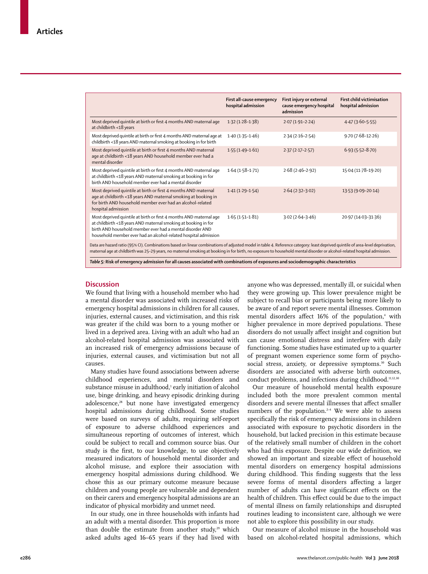|                                                                                                                                                                                                                                                                                                                                                            | First all-cause emergency<br>hospital admission | First injury or external<br>cause emergency hospital<br>admission | First child victimisation<br>hospital admission |  |  |  |
|------------------------------------------------------------------------------------------------------------------------------------------------------------------------------------------------------------------------------------------------------------------------------------------------------------------------------------------------------------|-------------------------------------------------|-------------------------------------------------------------------|-------------------------------------------------|--|--|--|
| Most deprived quintile at birth or first 4 months AND maternal age<br>at childbirth <18 years                                                                                                                                                                                                                                                              | $1.32(1.28-1.38)$                               | $2.07(1.91 - 2.24)$                                               | $4.47(3.60 - 5.55)$                             |  |  |  |
| Most deprived quintile at birth or first 4 months AND maternal age at<br>childbirth <18 years AND maternal smoking at booking in for birth                                                                                                                                                                                                                 | $1.40(1.35-1.46)$                               | $2.34(2.16-2.54)$                                                 | $9.70(7.68 - 12.26)$                            |  |  |  |
| Most deprived quintile at birth or first 4 months AND maternal<br>age at childbirth <18 years AND household member ever had a<br>mental disorder                                                                                                                                                                                                           | $1.55(1.49-1.61)$                               | $2.37(2.17-2.57)$                                                 | $6.93(5.52 - 8.70)$                             |  |  |  |
| Most deprived quintile at birth or first 4 months AND maternal age<br>at childbirth <18 years AND maternal smoking at booking in for<br>birth AND household member ever had a mental disorder                                                                                                                                                              | $1.64(1.58-1.71)$                               | $2.68(2.46-2.92)$                                                 | 15.04 (11.78-19.20)                             |  |  |  |
| Most deprived quintile at birth or first 4 months AND maternal<br>age at childbirth <18 years AND maternal smoking at booking in<br>for birth AND household member ever had an alcohol-related<br>hospital admission                                                                                                                                       | $1.41(1.29 - 1.54)$                             | $2.64(2.32-3.02)$                                                 | 13.53 (9.09-20.14)                              |  |  |  |
| Most deprived quintile at birth or first 4 months AND maternal age<br>at childbirth <18 years AND maternal smoking at booking in for<br>birth AND household member ever had a mental disorder AND<br>household member ever had an alcohol-related hospital admission                                                                                       | $1.65(1.51-1.81)$                               | $3.02(2.64 - 3.46)$                                               | 20.97 (14.03-31.36)                             |  |  |  |
| Data are hazard ratio (95% CI). Combinations based on linear combinations of adjusted model in table 4. Reference category: least deprived quintile of area-level deprivation,<br>maternal age at childbirth was 25-29 years, no maternal smoking at booking in for birth, no exposure to household mental disorder or alcohol-related hospital admission. |                                                 |                                                                   |                                                 |  |  |  |

*Table 5:* **Risk of emergency admission for all causes associated with combinations of exposures and sociodemographic characteristics**

# **Discussion**

We found that living with a household member who had a mental disorder was associated with increased risks of emergency hospital admissions in children for all causes, injuries, external causes, and victimisation, and this risk was greater if the child was born to a young mother or lived in a deprived area. Living with an adult who had an alcohol-related hospital admission was associated with an increased risk of emergency admissions because of injuries, external causes, and victimisation but not all causes.

Many studies have found associations between adverse childhood experiences, and mental disorders and substance misuse in adulthood,<sup>1</sup> early initiation of alcohol use, binge drinking, and heavy episodic drinking during adolescence,<sup>28</sup> but none have investigated emergency hospital admissions during childhood. Some studies were based on surveys of adults, requiring self-report of exposure to adverse childhood experiences and simultaneous reporting of outcomes of interest, which could be subject to recall and common source bias. Our study is the first, to our knowledge, to use objectively measured indicators of household mental disorder and alcohol misuse, and explore their association with emergency hospital admissions during childhood. We chose this as our primary outcome measure because children and young people are vulnerable and dependent on their carers and emergency hospital admissions are an indicator of physical morbidity and unmet need.

In our study, one in three households with infants had an adult with a mental disorder. This proportion is more than double the estimate from another study.<sup>29</sup> which asked adults aged 16–65 years if they had lived with anyone who was depressed, mentally ill, or suicidal when they were growing up. This lower prevalence might be subject to recall bias or participants being more likely to be aware of and report severe mental illnesses. Common mental disorders affect 16% of the population,<sup>4</sup> with higher prevalence in more deprived populations. These disorders do not usually affect insight and cognition but can cause emotional distress and interfere with daily functioning. Some studies have estimated up to a quarter of pregnant women experience some form of psychosocial stress, anxiety, or depressive symptoms.<sup>30</sup> Such disorders are associated with adverse birth outcomes, conduct problems, and infections during childhood.<sup>11,12,30</sup>

Our measure of household mental health exposure included both the more prevalent common mental disorders and severe mental illnesses that affect smaller numbers of the population.<sup>2-4</sup> We were able to assess specifically the risk of emergency admissions in children associated with exposure to psychotic disorders in the household, but lacked precision in this estimate because of the relatively small number of children in the cohort who had this exposure. Despite our wide definition, we showed an important and sizeable effect of household mental disorders on emergency hospital admissions during childhood. This finding suggests that the less severe forms of mental disorders affecting a larger number of adults can have significant effects on the health of children. This effect could be due to the impact of mental illness on family relationships and disrupted routines leading to inconsistent care, although we were not able to explore this possibility in our study.

Our measure of alcohol misuse in the household was based on alcohol-related hospital admissions, which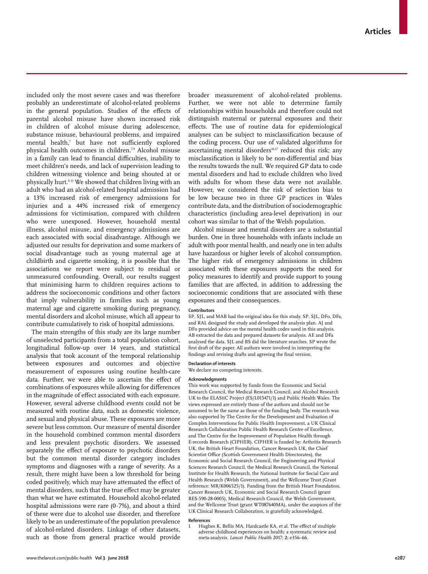included only the most severe cases and was therefore probably an underestimate of alcohol-related problems in the general population. Studies of the effects of parental alcohol misuse have shown increased risk in children of alcohol misuse during adolescence, substance misuse, behavioural problems, and impaired mental health,7 but have not sufficiently explored physical health outcomes in children.<sup>7,9</sup> Alcohol misuse in a family can lead to financial difficulties, inability to meet children's needs, and lack of supervision leading to children witnessing violence and being shouted at or physically hurt.9,31 We showed that children living with an adult who had an alcohol-related hospital admission had a 13% increased risk of emergency admissions for injuries and a 44% increased risk of emergency admissions for victimisation, compared with children who were unexposed. However, household mental illness, alcohol misuse, and emergency admissions are each associated with social disadvantage. Although we adjusted our results for deprivation and some markers of social disadvantage such as young maternal age at childbirth and cigarette smoking, it is possible that the associations we report were subject to residual or unmeasured confounding. Overall, our results suggest that minimising harm to children requires actions to address the socioeconomic conditions and other factors that imply vulnerability in families such as young maternal age and cigarette smoking during pregnancy, mental disorders and alcohol misuse, which all appear to contribute cumulatively to risk of hospital admissions.

The main strengths of this study are its large number of unselected participants from a total population cohort, longitudinal follow-up over 14 years, and statistical analysis that took account of the temporal relationship between exposures and outcomes and objective measurement of exposures using routine health-care data. Further, we were able to ascertain the effect of combinations of exposures while allowing for differences in the magnitude of effect associated with each exposure. However, several adverse childhood events could not be measured with routine data, such as domestic violence, and sexual and physical abuse. These exposures are more severe but less common. Our measure of mental disorder in the household combined common mental disorders and less prevalent psychotic disorders. We assessed separately the effect of exposure to psychotic disorders but the common mental disorder category includes symptoms and diagnoses with a range of severity. As a result, there might have been a low threshold for being coded positively, which may have attenuated the effect of mental disorders, such that the true effect may be greater than what we have estimated. Household alcohol-related hospital admissions were rare  $(0.7%)$ , and about a third of these were due to alcohol use disorder, and therefore likely to be an underestimate of the population prevalence of alcohol-related disorders. Linkage of other datasets, such as those from general practice would provide broader measurement of alcohol-related problems. Further, we were not able to determine family relationships within households and therefore could not distinguish maternal or paternal exposures and their effects. The use of routine data for epidemiological analyses can be subject to misclassification because of the coding process. Our use of validated algorithms for ascertaining mental disorders<sup>16,17</sup> reduced this risk; any misclassification is likely to be non-differential and bias the results towards the null. We required GP data to code mental disorders and had to exclude children who lived with adults for whom these data were not available. However, we considered the risk of selection bias to be low because two in three GP practices in Wales contribute data, and the distribution of sociodemographic characteristics (including area-level deprivation) in our cohort was similar to that of the Welsh population.

Alcohol misuse and mental disorders are a substantial burden. One in three households with infants include an adult with poor mental health, and nearly one in ten adults have hazardous or higher levels of alcohol consumption. The higher risk of emergency admissions in children associated with these exposures supports the need for policy measures to identify and provide support to young families that are affected, in addition to addressing the socioeconomic conditions that are associated with these exposures and their consequences.

#### **Contributors**

SP, SJL, and MAB had the original idea for this study. SP, SJL, DFo, DFa, and RAL designed the study and developed the analysis plan. AJ and DFo provided advice on the mental health codes used in this analysis. AB extracted the data and prepared datasets for analysis. AE and DFa analysed the data. SJL and BS did the literature searches. SP wrote the first draft of the paper. All authors were involved in interpreting the findings and revising drafts and agreeing the final version.

#### **Declaration of interests**

We declare no competing interests.

#### **Acknowledgments**

This work was supported by funds from the Economic and Social Research Council, the Medical Research Council, and Alcohol Research UK to the ELAStiC Project (ES/L015471/1) and Public Health Wales. The views expressed are entirely those of the authors and should not be assumed to be the same as those of the funding body. The research was also supported by The Centre for the Development and Evaluation of Complex Interventions for Public Health Improvement, a UK Clinical Research Collaboration Public Health Research Centre of Excellence, and The Centre for the Improvement of Population Health through E-records Research (CIPHER). CIPHER is funded by: Arthritis Research UK, the British Heart Foundation, Cancer Research UK, the Chief Scientist Office (Scottish Government Health Directorates), the Economic and Social Research Council, the Engineering and Physical Sciences Research Council, the Medical Research Council, the National Institute for Health Research, the National Institute for Social Care and Health Research (Welsh Government), and the Wellcome Trust (Grant reference: MR/K006525/1). Funding from the British Heart Foundation, Cancer Research UK, Economic and Social Research Council (grant RES-590-28-0005), Medical Research Council, the Welsh Government, and the Wellcome Trust (grant WT087640MA), under the auspices of the UK Clinical Research Collaboration, is gratefully acknowledged.

#### **References**

Hughes K, Bellis MA, Hardcastle KA, et al. The effect of multiple adverse childhood experiences on health: a systematic review and meta-analysis. *Lancet Public Health* 2017; **2:** e356–66.